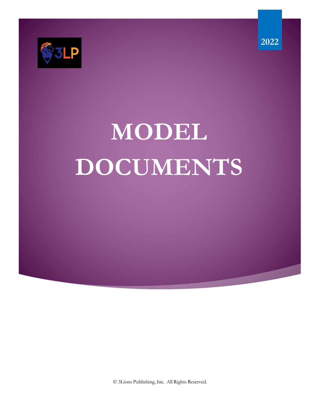

# **MODEL DOCUMENTS**

© 3Lions Publishing, Inc. All Rights Reserved.

**2022**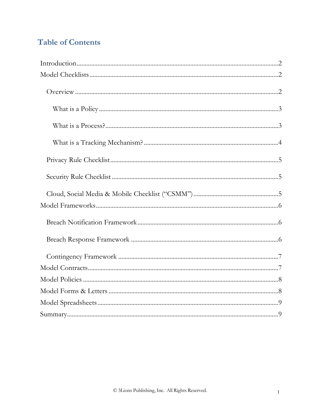## **Table of Contents**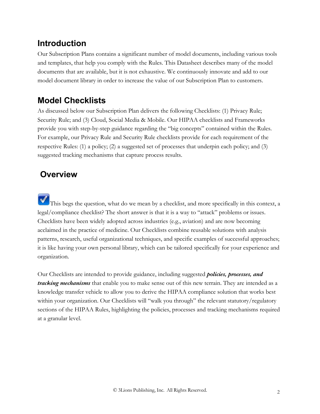## **Introduction**

Our Subscription Plans contains a significant number of model documents, including various tools and templates, that help you comply with the Rules. This Datasheet describes many of the model documents that are available, but it is not exhaustive. We continuously innovate and add to our model document library in order to increase the value of our Subscription Plan to customers.

### **Model Checklists**

As discussed below our Subscription Plan delivers the following Checklists: (1) Privacy Rule; Security Rule; and (3) Cloud, Social Media & Mobile. Our HIPAA checklists and Frameworks provide you with step-by-step guidance regarding the "big concepts" contained within the Rules. For example, our Privacy Rule and Security Rule checklists provide for each requirement of the respective Rules: (1) a policy; (2) a suggested set of processes that underpin each policy; and (3) suggested tracking mechanisms that capture process results.

### **Overview**

This begs the question, what do we mean by a checklist, and more specifically in this context, a legal/compliance checklist? The short answer is that it is a way to "attack" problems or issues. Checklists have been widely adopted across industries (e.g., aviation) and are now becoming acclaimed in the practice of medicine. Our Checklists combine reusable solutions with analysis patterns, research, useful organizational techniques, and specific examples of successful approaches; it is like having your own personal library, which can be tailored specifically for your experience and organization.

Our Checklists are intended to provide guidance, including suggested *policies, processes, and tracking mechanisms* that enable you to make sense out of this new terrain. They are intended as a knowledge transfer vehicle to allow you to derive the HIPAA compliance solution that works best within your organization. Our Checklists will "walk you through" the relevant statutory/regulatory sections of the HIPAA Rules, highlighting the policies, processes and tracking mechanisms required at a granular level.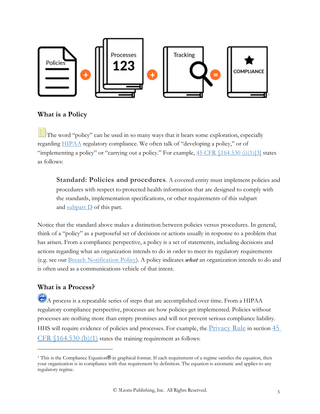

#### **What is a Policy**

The word "policy" can be used in so many ways that it bears some exploration, especially regarding HIPAA regulatory compliance. We often talk of "developing a policy," or of "implementing a policy" or "carrying out a policy." For example,  $45 \text{ CFR } (164.530 \text{ (i)})(1)[3]$  states as follows:

**Standard: Policies and procedures.** A covered entity must implement policies and procedures with respect to protected health information that are designed to comply with the standards, implementation specifications, or other requirements of this subpart and subpart  $D$  of this part.

Notice that the standard above makes a distinction between policies versus procedures. In general, think of a "policy" as a purposeful set of decisions or actions usually in response to a problem that has arisen. From a compliance perspective, a policy is a set of statements, including decisions and actions regarding what an organization intends to do in order to meet its regulatory requirements (e.g. see our Breach Notification Policy). A policy indicates *what* an organization intends to do and is often used as a communications vehicle of that intent.

#### **What is a Process?**

A process is a repeatable series of steps that are accomplished over time. From a HIPAA regulatory compliance perspective, processes are how policies get implemented. Policies without processes are nothing more than empty promises and will not prevent serious compliance liability. HHS will require evidence of policies and processes. For example, the *Privacy Rule* in section 45 CFR  $(164.530)$  (b)(1) states the training requirement as follows:

<sup>1</sup> This is the Compliance Equation® in graphical format. If each requirement of a regime satisfies the equation, then your organization is in compliance with that requirement by definition. The equation is axiomatic and applies to any regulatory regime.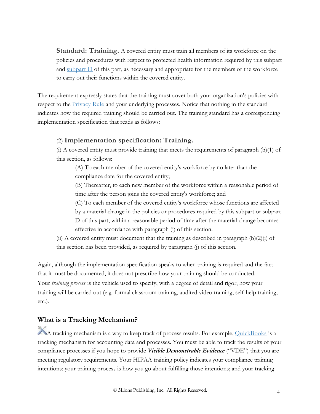**Standard: Training.** A covered entity must train all members of its workforce on the policies and procedures with respect to protected health information required by this subpart and subpart  $D$  of this part, as necessary and appropriate for the members of the workforce to carry out their functions within the covered entity.

The requirement expressly states that the training must cover both your organization's policies with respect to the **Privacy Rule** and your underlying processes. Notice that nothing in the standard indicates how the required training should be carried out. The training standard has a corresponding implementation specification that reads as follows:

#### (2) **Implementation specification: Training.**

(i) A covered entity must provide training that meets the requirements of paragraph (b)(1) of this section, as follows:

(A) To each member of the covered entity's workforce by no later than the compliance date for the covered entity;

(B) Thereafter, to each new member of the workforce within a reasonable period of time after the person joins the covered entity's workforce; and

(C) To each member of the covered entity's workforce whose functions are affected by a material change in the policies or procedures required by this subpart or subpart D of this part, within a reasonable period of time after the material change becomes effective in accordance with paragraph (i) of this section.

(ii) A covered entity must document that the training as described in paragraph (b)(2)(i) of this section has been provided, as required by paragraph (j) of this section.

Again, although the implementation specification speaks to when training is required and the fact that it must be documented, it does not prescribe how your training should be conducted.

Your *training process* is the vehicle used to specify, with a degree of detail and rigor, how your training will be carried out (e.g. formal classroom training, audited video training, self-help training, etc.).

#### **What is a Tracking Mechanism?**

A tracking mechanism is a way to keep track of process results. For example, QuickBooks is a tracking mechanism for accounting data and processes. You must be able to track the results of your compliance processes if you hope to provide *Visible Demonstrable Evidence* ("VDE") that you are meeting regulatory requirements. Your HIPAA training policy indicates your compliance training intentions; your training process is how you go about fulfilling those intentions; and your tracking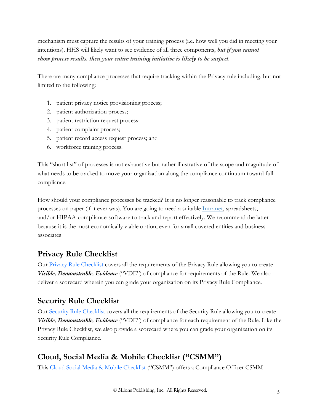mechanism must capture the results of your training process (i.e. how well you did in meeting your intentions). HHS will likely want to see evidence of all three components, *but if you cannot show process results, then your entire training initiative is likely to be suspect*.

There are many compliance processes that require tracking within the Privacy rule including, but not limited to the following:

- 1. patient privacy notice provisioning process;
- 2. patient authorization process;
- 3. patient restriction request process;
- 4. patient complaint process;
- 5. patient record access request process; and
- 6. workforce training process.

This "short list" of processes is not exhaustive but rather illustrative of the scope and magnitude of what needs to be tracked to move your organization along the compliance continuum toward full compliance.

How should your compliance processes be tracked? It is no longer reasonable to track compliance processes on paper (if it ever was). You are going to need a suitable Intranet, spreadsheets, and/or HIPAA compliance software to track and report effectively. We recommend the latter because it is the most economically viable option, even for small covered entities and business associates

#### **Privacy Rule Checklist**

Our Privacy Rule Checklist covers all the requirements of the Privacy Rule allowing you to create *Visible, Demonstrable, Evidence* ("VDE") of compliance for requirements of the Rule. We also deliver a scorecard wherein you can grade your organization on its Privacy Rule Compliance.

#### **Security Rule Checklist**

Our Security Rule Checklist covers all the requirements of the Security Rule allowing you to create *Visible, Demonstrable, Evidence* ("VDE") of compliance for each requirement of the Rule. Like the Privacy Rule Checklist, we also provide a scorecard where you can grade your organization on its Security Rule Compliance.

#### **Cloud, Social Media & Mobile Checklist ("CSMM")**

This Cloud Social Media & Mobile Checklist ("CSMM") offers a Compliance Officer CSMM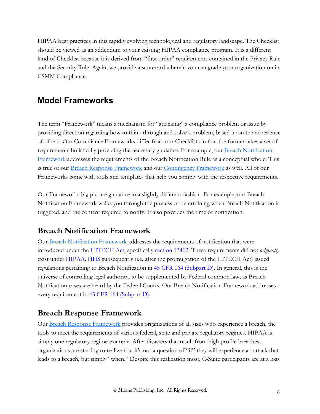HIPAA best practices in this rapidly evolving technological and regulatory landscape. The Checklist should be viewed as an addendum to your existing HIPAA compliance program. It is a different kind of Checklist because it is derived from "first order" requirements contained in the Privacy Rule and the Security Rule. Again, we provide a scorecard wherein you can grade your organization on its CSMM Compliance.

#### **Model Frameworks**

The term "Framework" means a mechanism for "attacking" a compliance problem or issue by providing direction regarding how to think through and solve a problem, based upon the experience of others. Our Compliance Frameworks differ from our Checklists in that the former takes a set of requirements holistically providing the necessary guidance. For example, our Breach Notification Framework addresses the requirements of the Breach Notification Rule as a conceptual whole. This is true of our Breach Response Framework and our Contingency Framework as well. All of our Frameworks come with tools and templates that help you comply with the respective requirements.

Our Frameworks big picture guidance in a slightly different fashion. For example, our Breach Notification Framework walks you through the process of determining when Breach Notification is triggered, and the content required to notify. It also provides the time of notification.

#### **Breach Notification Framework**

Our Breach Notification Framework addresses the requirements of notification that were introduced under the HITECH Act, specifically section 13402. These requirements did not *originally* exist under HIPAA. HHS subsequently (i.e. after the promulgation of the HITECH Act) issued regulations pertaining to Breach Notification in 45 CFR 164 (Subpart D). In general, this is the universe of controlling legal authority, to be supplemented by Federal common law, as Breach Notification cases are heard by the Federal Courts. Our Breach Notification Framework addresses every requirement in 45 CFR 164 (Subpart D).

#### **Breach Response Framework**

Our Breach Response Framework provides organizations of all sizes who experience a breach, the tools to meet the requirements of various federal, state and private regulatory regimes. HIPAA is simply one regulatory regime example. After disasters that result from high profile breaches, organizations are starting to realize that it's not a question of "if" they will experience an attack that leads to a breach, but simply "when." Despite this realization most, C-Suite participants are at a loss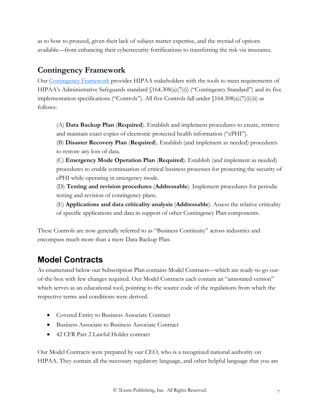as to how to proceed, given their lack of subject matter expertise, and the myriad of options available—from enhancing their cybersecurity fortifications to transferring the risk via insurance.

#### **Contingency Framework**

Our Contingency Framework provides HIPAA stakeholders with the tools to meet requirements of HIPAA's Administrative Safeguards standard  $\langle 164.308(a)(7)(i)$  ("Contingency Standard") and its five implementation specifications ("Controls"). All five Controls fall under §164.308(a)(7)(i)(ii) as follows:

(A) **Data Backup Plan** (**Required**). Establish and implement procedures to create, retrieve and maintain exact copies of electronic protected health information ("ePHI").

(B) **Disaster Recovery Plan** (**Required**). Establish (and implement as needed) procedures to restore any loss of data.

(C) **Emergency Mode Operation Plan** (**Required**). Establish (and implement as needed) procedures to enable continuation of critical business processes for protecting the security of ePHI while operating in emergency mode.

(D) **Testing and revision procedures** (**Addressable**). Implement procedures for periodic testing and revision of contingency plans.

(E) **Applications and data criticality analysis** (**Addressable**). Assess the relative criticality of specific applications and data in support of other Contingency Plan components.

These Controls are now generally referred to as "Business Continuity" across industries and encompass much more than a mere Data Backup Plan.

## **Model Contracts**

As enumerated below our Subscription Plan contains Model Contracts—which are ready-to-go outof-the-box with few changes required. Our Model Contracts each contain an "annotated version" which serves as an educational tool, pointing to the source code of the regulations from which the respective terms and conditions were derived.

- Covered Entity to Business Associate Contract
- Business Associate to Business Associate Contract
- 42 CFR Part 2 Lawful Holder contract

Our Model Contracts were prepared by our CEO, who is a recognized national authority on HIPAA. They contain all the necessary regulatory language, and other helpful language that you are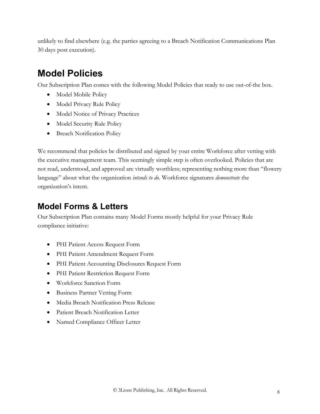unlikely to find elsewhere (e.g. the parties agreeing to a Breach Notification Communications Plan 30 days post execution).

## **Model Policies**

Our Subscription Plan comes with the following Model Policies that ready to use out-of-the box.

- Model Mobile Policy
- Model Privacy Rule Policy
- Model Notice of Privacy Practices
- Model Security Rule Policy
- Breach Notification Policy

We recommend that policies be distributed and signed by your entire Workforce after vetting with the executive management team. This seemingly simple step is often overlooked. Policies that are not read, understood, and approved are virtually worthless; representing nothing more than "flowery language" about what the organization *intends to do*. Workforce signatures *demonstrate* the organization's intent.

#### **Model Forms & Letters**

Our Subscription Plan contains many Model Forms mostly helpful for your Privacy Rule compliance initiative:

- PHI Patient Access Request Form
- PHI Patient Amendment Request Form
- PHI Patient Accounting Disclosures Request Form
- PHI Patient Restriction Request Form
- Workforce Sanction Form
- Business Partner Vetting Form
- Media Breach Notification Press Release
- Patient Breach Notification Letter
- Named Compliance Officer Letter